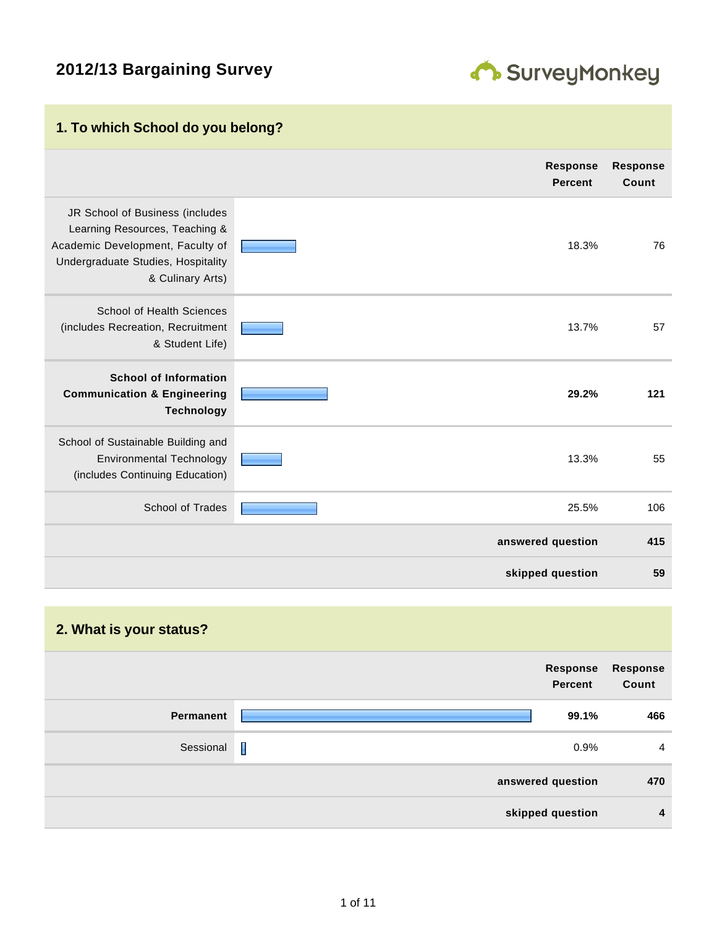# **2012/13 Bargaining Survey**



# **1. To which School do you belong?**

|                                                                                                                                                                 | <b>Response</b><br><b>Percent</b> | <b>Response</b><br>Count |
|-----------------------------------------------------------------------------------------------------------------------------------------------------------------|-----------------------------------|--------------------------|
| JR School of Business (includes<br>Learning Resources, Teaching &<br>Academic Development, Faculty of<br>Undergraduate Studies, Hospitality<br>& Culinary Arts) | 18.3%                             | 76                       |
| School of Health Sciences<br>(includes Recreation, Recruitment<br>& Student Life)                                                                               | 13.7%                             | 57                       |
| <b>School of Information</b><br><b>Communication &amp; Engineering</b><br><b>Technology</b>                                                                     | 29.2%                             | 121                      |
| School of Sustainable Building and<br><b>Environmental Technology</b><br>(includes Continuing Education)                                                        | 13.3%                             | 55                       |
| School of Trades                                                                                                                                                | 25.5%                             | 106                      |
|                                                                                                                                                                 | answered question                 | 415                      |
|                                                                                                                                                                 | skipped question                  | 59                       |

#### **2. What is your status?**

|           | Response<br>Percent | Response<br>Count |
|-----------|---------------------|-------------------|
| Permanent | 99.1%               | 466               |
| Sessional | $\mathbf I$<br>0.9% | $\overline{4}$    |
|           | answered question   | 470               |
|           | skipped question    | $\overline{4}$    |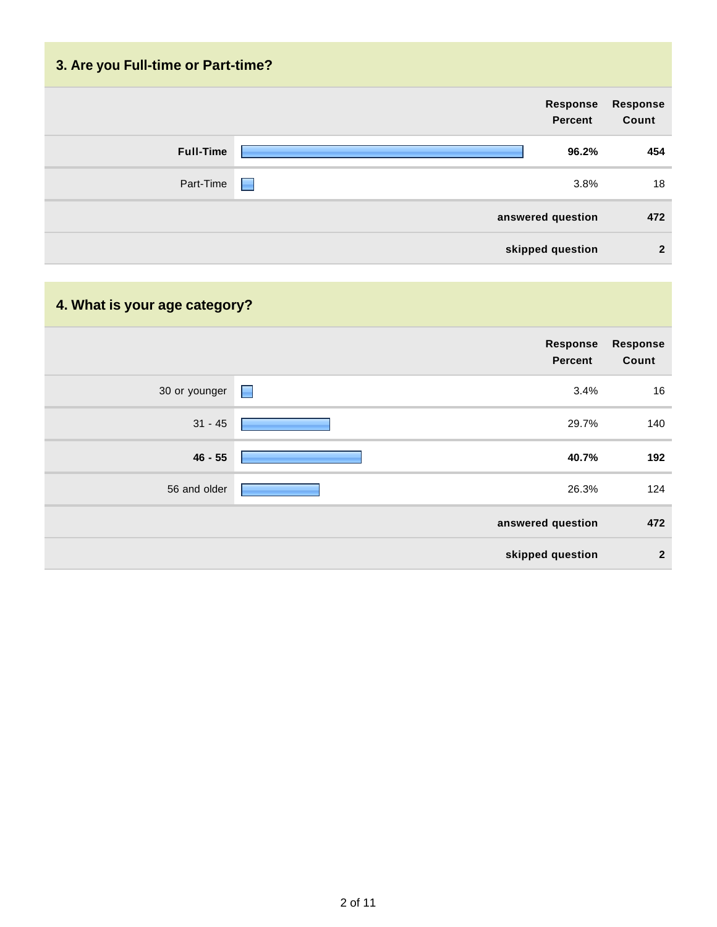| 3. Are you Full-time or Part-time? |                            |                          |
|------------------------------------|----------------------------|--------------------------|
|                                    | Response<br><b>Percent</b> | <b>Response</b><br>Count |
| <b>Full-Time</b>                   | 96.2%                      | 454                      |
| Part-Time                          | 3.8%<br><b>September</b>   | 18                       |
|                                    | answered question          | 472                      |
|                                    | skipped question           | $\overline{2}$           |

# **4. What is your age category?**

|               | Response<br>Percent | <b>Response</b><br>Count |
|---------------|---------------------|--------------------------|
| 30 or younger | 3.4%<br>ш           | 16                       |
| $31 - 45$     | 29.7%               | 140                      |
| $46 - 55$     | 40.7%               | 192                      |
| 56 and older  | 26.3%               | 124                      |
|               | answered question   | 472                      |
|               | skipped question    | $\mathbf{2}$             |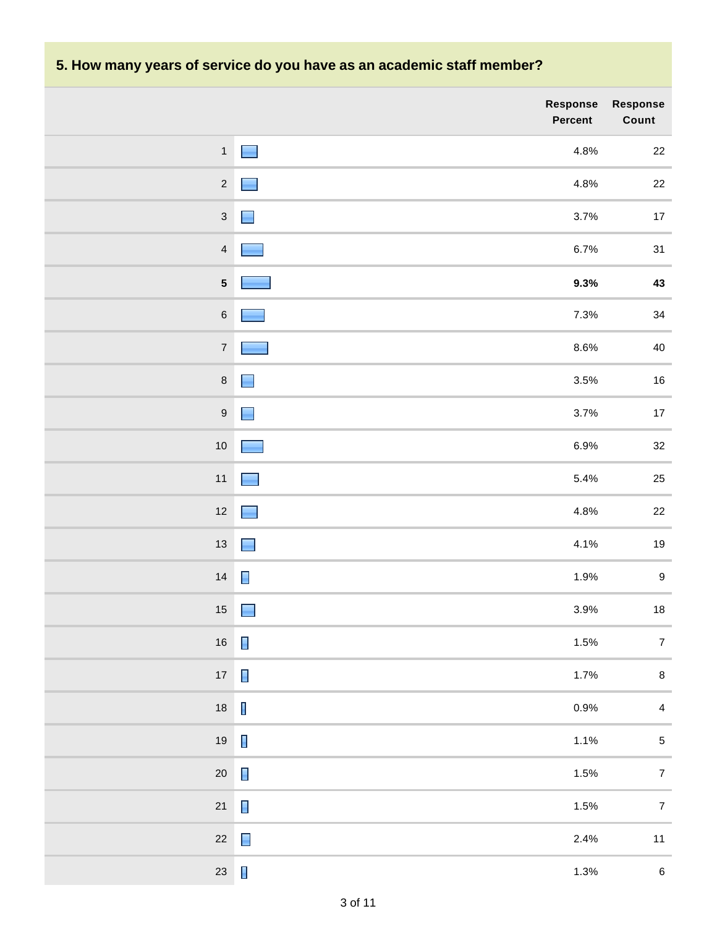# **5. How many years of service do you have as an academic staff member?**

|                         | <b>Response</b><br>Percent          | Response<br>Count       |
|-------------------------|-------------------------------------|-------------------------|
| $\mathbf{1}$            | 4.8%<br>and the                     | $22\,$                  |
| $\sqrt{2}$              | 4.8%                                | $22\,$                  |
| $\sqrt{3}$              | 3.7%                                | $17\,$                  |
| $\overline{4}$          | 6.7%                                | 31                      |
| $\overline{\mathbf{5}}$ | 9.3%                                | $\bf 43$                |
| $\,6$                   | 7.3%                                | $34\,$                  |
| $\boldsymbol{7}$        | $8.6\%$                             | $40\,$                  |
| $\,8\,$                 | 3.5%                                | $16\,$                  |
| $\boldsymbol{9}$        | 3.7%                                | $17\,$                  |
| $10\,$                  | 6.9%                                | $32\,$                  |
| $11$                    | 5.4%                                | $25\,$                  |
| $12\,$                  | 4.8%                                | $22\,$                  |
| $13\,$                  | 4.1%<br>and the                     | $19$                    |
| 14                      | 1.9%                                | $\boldsymbol{9}$        |
| $15\,$                  | 3.9%                                | $18\,$                  |
| $16\,$                  | 1.5%                                | $\overline{\mathbf{7}}$ |
| $17\,$                  | $\blacksquare$<br>1.7%              | $\bf 8$                 |
| 18                      | $\overline{\phantom{a}}$<br>$0.9\%$ | $\overline{4}$          |
| 19                      | $\blacksquare$<br>1.1%              | $\mathbf 5$             |
| $20\,$                  | $\blacksquare$<br>1.5%              | $\overline{7}$          |
| $21$                    | 1.5%                                | $\overline{7}$          |
| $22\,$                  | $\blacksquare$<br>2.4%              | $11$                    |
| 23                      | $\blacksquare$<br>1.3%              | $\,6\,$                 |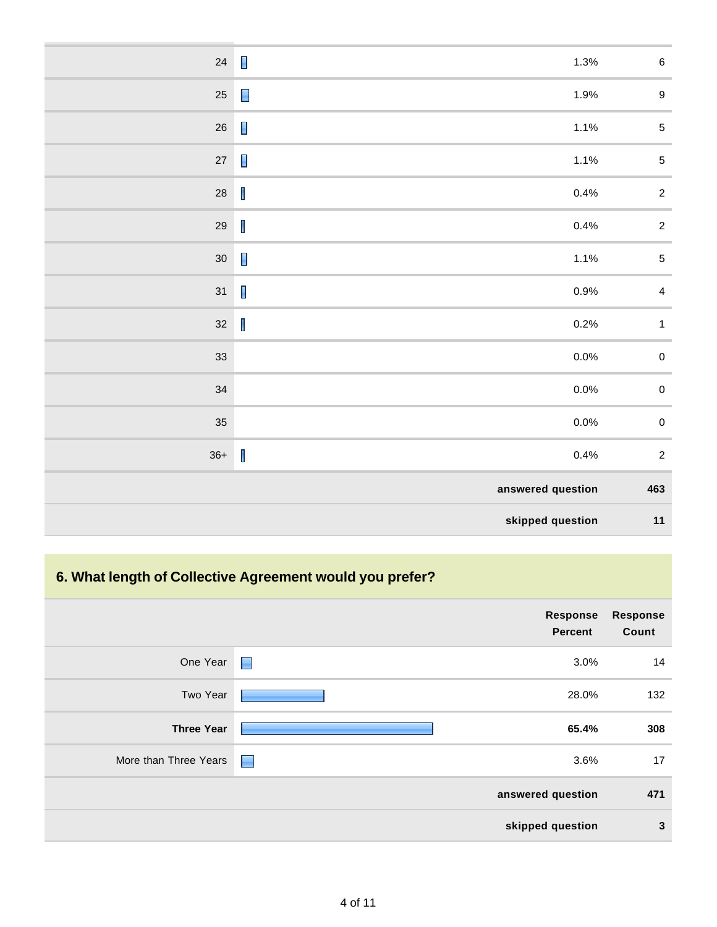| $\,6\,$          | $\blacksquare$<br>1.3%                                                                                                                                                                                                                                                                                                                                                                   | $24\,$     |
|------------------|------------------------------------------------------------------------------------------------------------------------------------------------------------------------------------------------------------------------------------------------------------------------------------------------------------------------------------------------------------------------------------------|------------|
| $\boldsymbol{9}$ | $\Box$<br>1.9%                                                                                                                                                                                                                                                                                                                                                                           | $25\,$     |
| $\sqrt{5}$       | $\blacksquare$<br>1.1%                                                                                                                                                                                                                                                                                                                                                                   | $26\,$     |
| $\sqrt{5}$       | $\blacksquare$<br>1.1%                                                                                                                                                                                                                                                                                                                                                                   | $27\,$     |
| $\sqrt{2}$       | $\begin{array}{c} \hline \end{array}$<br>0.4%                                                                                                                                                                                                                                                                                                                                            | ${\bf 28}$ |
| $\sqrt{2}$       | $\begin{array}{c} \rule{0pt}{2.5ex} \rule{0pt}{2.5ex} \rule{0pt}{2.5ex} \rule{0pt}{2.5ex} \rule{0pt}{2.5ex} \rule{0pt}{2.5ex} \rule{0pt}{2.5ex} \rule{0pt}{2.5ex} \rule{0pt}{2.5ex} \rule{0pt}{2.5ex} \rule{0pt}{2.5ex} \rule{0pt}{2.5ex} \rule{0pt}{2.5ex} \rule{0pt}{2.5ex} \rule{0pt}{2.5ex} \rule{0pt}{2.5ex} \rule{0pt}{2.5ex} \rule{0pt}{2.5ex} \rule{0pt}{2.5ex} \rule{0$<br>0.4% | $29\,$     |
| $\sqrt{5}$       | $\blacksquare$<br>1.1%                                                                                                                                                                                                                                                                                                                                                                   | $30\,$     |
| $\overline{4}$   | $\mathbf{I}$<br>0.9%                                                                                                                                                                                                                                                                                                                                                                     | 31         |
| $\mathbf{1}$     | $\begin{array}{c} \rule{0pt}{2.5ex} \rule{0pt}{2.5ex} \rule{0pt}{2.5ex} \rule{0pt}{2.5ex} \rule{0pt}{2.5ex} \rule{0pt}{2.5ex} \rule{0pt}{2.5ex} \rule{0pt}{2.5ex} \rule{0pt}{2.5ex} \rule{0pt}{2.5ex} \rule{0pt}{2.5ex} \rule{0pt}{2.5ex} \rule{0pt}{2.5ex} \rule{0pt}{2.5ex} \rule{0pt}{2.5ex} \rule{0pt}{2.5ex} \rule{0pt}{2.5ex} \rule{0pt}{2.5ex} \rule{0pt}{2.5ex} \rule{0$<br>0.2% | $32\,$     |
| $\pmb{0}$        | 0.0%                                                                                                                                                                                                                                                                                                                                                                                     | 33         |
| $\pmb{0}$        | 0.0%                                                                                                                                                                                                                                                                                                                                                                                     | 34         |
| $\pmb{0}$        | 0.0%                                                                                                                                                                                                                                                                                                                                                                                     | 35         |
| $\sqrt{2}$       | $\begin{array}{c} \hline \end{array}$<br>0.4%                                                                                                                                                                                                                                                                                                                                            | $36+$      |
| 463              | answered question                                                                                                                                                                                                                                                                                                                                                                        |            |
| $11$             | skipped question                                                                                                                                                                                                                                                                                                                                                                         |            |

# **6. What length of Collective Agreement would you prefer?**

|                       |                          | Response<br><b>Percent</b> | <b>Response</b><br>Count |
|-----------------------|--------------------------|----------------------------|--------------------------|
| One Year              | $\blacksquare$           | 3.0%                       | 14                       |
| Two Year              |                          | 28.0%                      | 132                      |
| <b>Three Year</b>     |                          | 65.4%                      | 308                      |
| More than Three Years | <b>The Second Second</b> | 3.6%                       | 17                       |
|                       |                          | answered question          | 471                      |
|                       |                          | skipped question           | 3                        |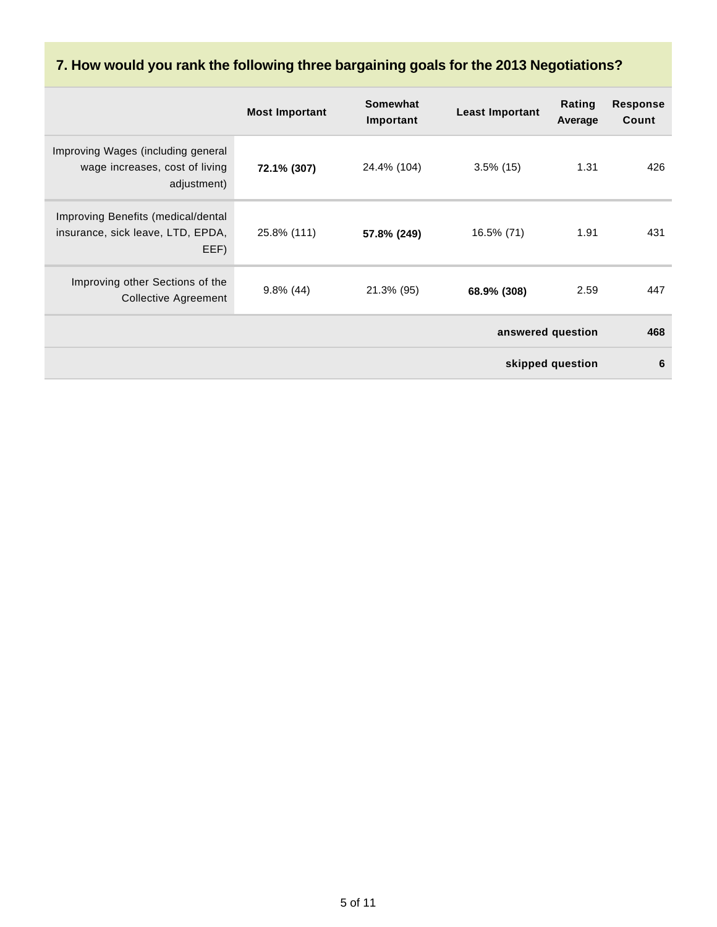# **7. How would you rank the following three bargaining goals for the 2013 Negotiations?**

|                                                                                     | <b>Most Important</b> | Somewhat<br>Important | <b>Least Important</b> | Rating<br>Average | <b>Response</b><br>Count |
|-------------------------------------------------------------------------------------|-----------------------|-----------------------|------------------------|-------------------|--------------------------|
| Improving Wages (including general<br>wage increases, cost of living<br>adjustment) | 72.1% (307)           | 24.4% (104)           | $3.5\%$ (15)           | 1.31              | 426                      |
| Improving Benefits (medical/dental<br>insurance, sick leave, LTD, EPDA,<br>EEF)     | 25.8% (111)           | 57.8% (249)           | 16.5% (71)             | 1.91              | 431                      |
| Improving other Sections of the<br><b>Collective Agreement</b>                      | $9.8\%$ (44)          | 21.3% (95)            | 68.9% (308)            | 2.59              | 447                      |
|                                                                                     |                       |                       |                        | answered question | 468                      |
|                                                                                     |                       |                       |                        | skipped question  | 6                        |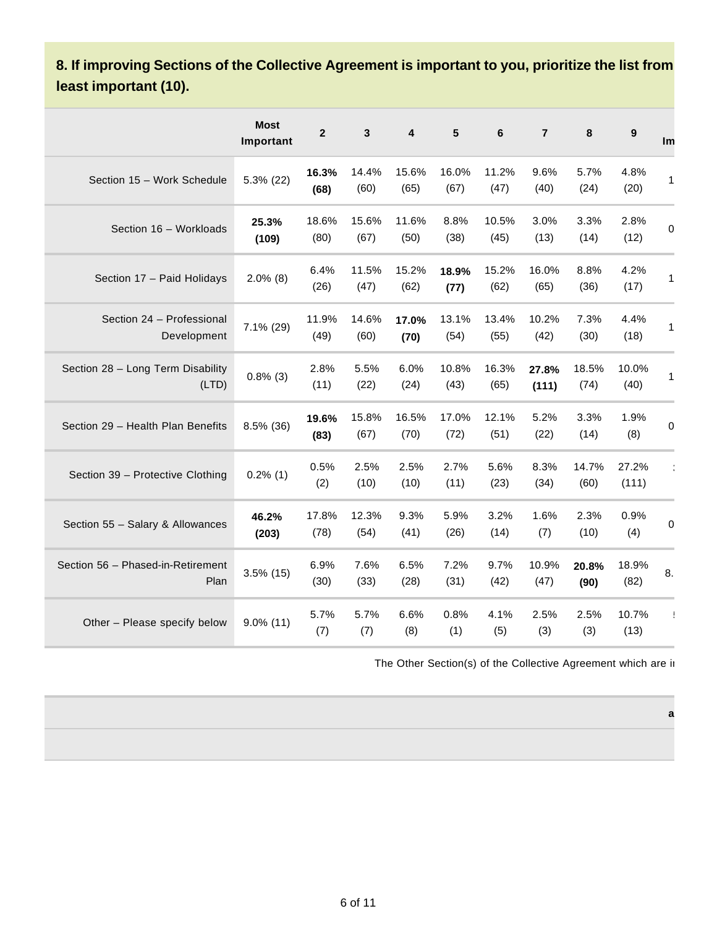### **8. If improving Sections of the Collective Agreement is important to you, prioritize the list from least important (10).**

|                                            | <b>Most</b><br>Important | $\mathbf{2}$  | 3             | 4             | 5             | 6             | $\overline{7}$ | 8             | 9              | Im |
|--------------------------------------------|--------------------------|---------------|---------------|---------------|---------------|---------------|----------------|---------------|----------------|----|
| Section 15 - Work Schedule                 | 5.3% (22)                | 16.3%<br>(68) | 14.4%<br>(60) | 15.6%<br>(65) | 16.0%<br>(67) | 11.2%<br>(47) | 9.6%<br>(40)   | 5.7%<br>(24)  | 4.8%<br>(20)   | 1  |
| Section 16 - Workloads                     | 25.3%<br>(109)           | 18.6%<br>(80) | 15.6%<br>(67) | 11.6%<br>(50) | 8.8%<br>(38)  | 10.5%<br>(45) | 3.0%<br>(13)   | 3.3%<br>(14)  | 2.8%<br>(12)   | 0  |
| Section 17 - Paid Holidays                 | $2.0\%$ (8)              | 6.4%<br>(26)  | 11.5%<br>(47) | 15.2%<br>(62) | 18.9%<br>(77) | 15.2%<br>(62) | 16.0%<br>(65)  | 8.8%<br>(36)  | 4.2%<br>(17)   | 1  |
| Section 24 - Professional<br>Development   | 7.1% (29)                | 11.9%<br>(49) | 14.6%<br>(60) | 17.0%<br>(70) | 13.1%<br>(54) | 13.4%<br>(55) | 10.2%<br>(42)  | 7.3%<br>(30)  | 4.4%<br>(18)   | 1  |
| Section 28 - Long Term Disability<br>(LTD) | $0.8\%$ (3)              | 2.8%<br>(11)  | 5.5%<br>(22)  | 6.0%<br>(24)  | 10.8%<br>(43) | 16.3%<br>(65) | 27.8%<br>(111) | 18.5%<br>(74) | 10.0%<br>(40)  | 1  |
| Section 29 - Health Plan Benefits          | 8.5% (36)                | 19.6%<br>(83) | 15.8%<br>(67) | 16.5%<br>(70) | 17.0%<br>(72) | 12.1%<br>(51) | 5.2%<br>(22)   | 3.3%<br>(14)  | 1.9%<br>(8)    | 0  |
| Section 39 - Protective Clothing           | $0.2\%$ (1)              | 0.5%<br>(2)   | 2.5%<br>(10)  | 2.5%<br>(10)  | 2.7%<br>(11)  | 5.6%<br>(23)  | 8.3%<br>(34)   | 14.7%<br>(60) | 27.2%<br>(111) |    |
| Section 55 - Salary & Allowances           | 46.2%<br>(203)           | 17.8%<br>(78) | 12.3%<br>(54) | 9.3%<br>(41)  | 5.9%<br>(26)  | 3.2%<br>(14)  | 1.6%<br>(7)    | 2.3%<br>(10)  | 0.9%<br>(4)    | 0  |
| Section 56 - Phased-in-Retirement<br>Plan  | $3.5\%$ (15)             | 6.9%<br>(30)  | 7.6%<br>(33)  | 6.5%<br>(28)  | 7.2%<br>(31)  | 9.7%<br>(42)  | 10.9%<br>(47)  | 20.8%<br>(90) | 18.9%<br>(82)  | 8. |
| Other - Please specify below               | $9.0\%$ (11)             | 5.7%<br>(7)   | 5.7%<br>(7)   | 6.6%<br>(8)   | 0.8%<br>(1)   | 4.1%<br>(5)   | 2.5%<br>(3)    | 2.5%<br>(3)   | 10.7%<br>(13)  | Ţ  |

The Other Section(s) of the Collective Agreement which are in

**a**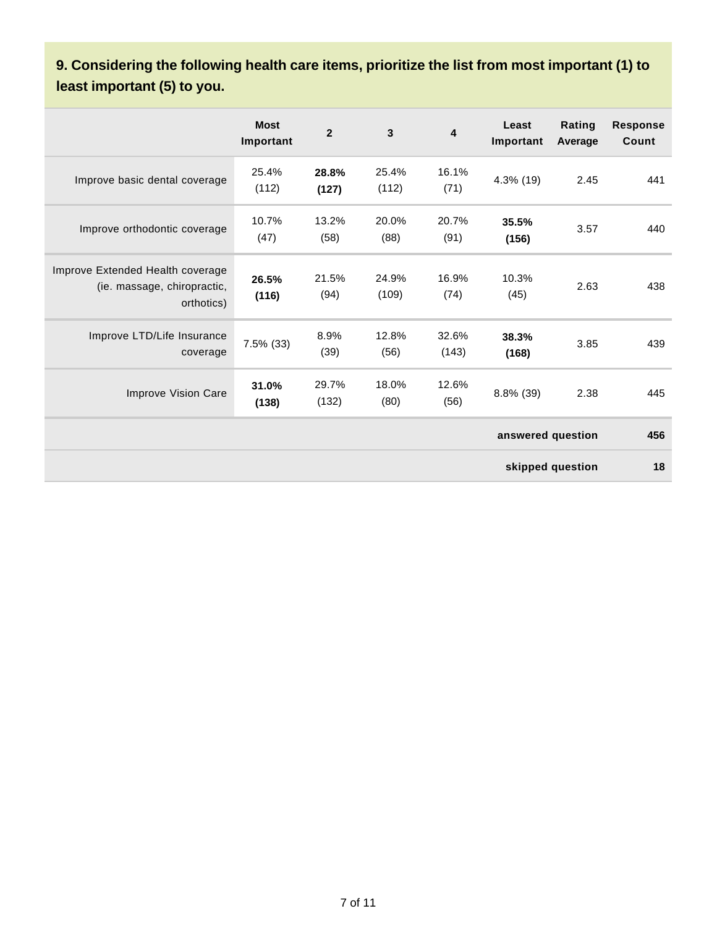### **9. Considering the following health care items, prioritize the list from most important (1) to least important (5) to you.**

|                                                                               | <b>Most</b><br>Important | $\overline{2}$ | $\overline{3}$ | 4              | Least<br>Important | Rating<br>Average | <b>Response</b><br>Count |
|-------------------------------------------------------------------------------|--------------------------|----------------|----------------|----------------|--------------------|-------------------|--------------------------|
| Improve basic dental coverage                                                 | 25.4%<br>(112)           | 28.8%<br>(127) | 25.4%<br>(112) | 16.1%<br>(71)  | 4.3% (19)          | 2.45              | 441                      |
| Improve orthodontic coverage                                                  | 10.7%<br>(47)            | 13.2%<br>(58)  | 20.0%<br>(88)  | 20.7%<br>(91)  | 35.5%<br>(156)     | 3.57              | 440                      |
| Improve Extended Health coverage<br>(ie. massage, chiropractic,<br>orthotics) | 26.5%<br>(116)           | 21.5%<br>(94)  | 24.9%<br>(109) | 16.9%<br>(74)  | 10.3%<br>(45)      | 2.63              | 438                      |
| Improve LTD/Life Insurance<br>coverage                                        | 7.5% (33)                | 8.9%<br>(39)   | 12.8%<br>(56)  | 32.6%<br>(143) | 38.3%<br>(168)     | 3.85              | 439                      |
| Improve Vision Care                                                           | 31.0%<br>(138)           | 29.7%<br>(132) | 18.0%<br>(80)  | 12.6%<br>(56)  | 8.8% (39)          | 2.38              | 445                      |
|                                                                               |                          |                |                |                | answered question  |                   | 456                      |
|                                                                               |                          |                |                |                |                    | skipped question  | 18                       |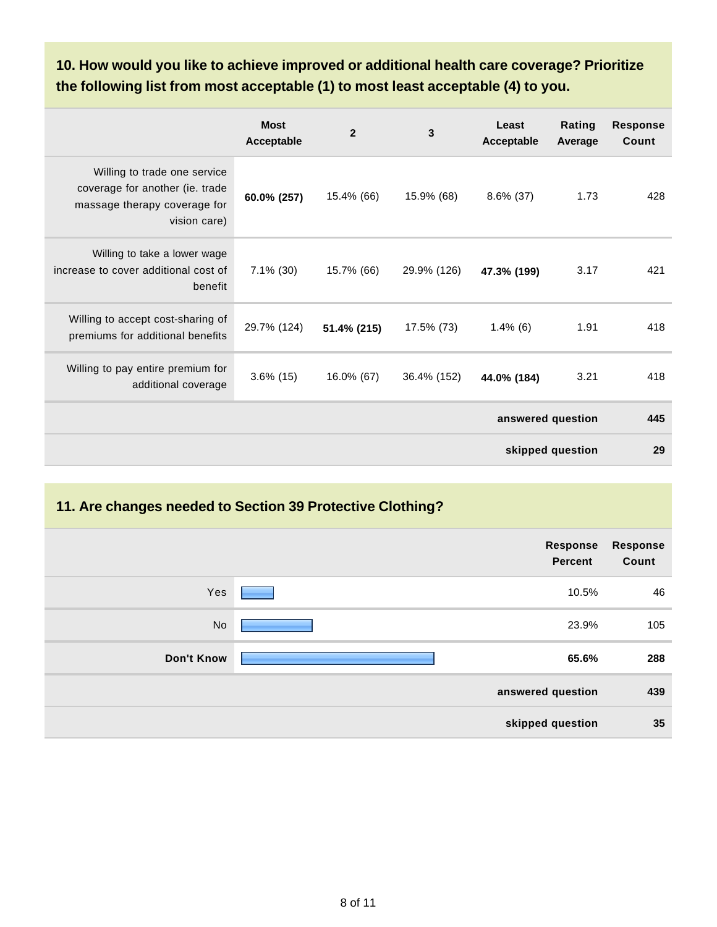**10. How would you like to achieve improved or additional health care coverage? Prioritize the following list from most acceptable (1) to most least acceptable (4) to you.**

|                                                                                                                 | <b>Most</b><br>Acceptable | $\overline{2}$ | 3           | Least<br>Acceptable | Rating<br>Average | <b>Response</b><br>Count |
|-----------------------------------------------------------------------------------------------------------------|---------------------------|----------------|-------------|---------------------|-------------------|--------------------------|
| Willing to trade one service<br>coverage for another (ie. trade<br>massage therapy coverage for<br>vision care) | 60.0% (257)               | 15.4% (66)     | 15.9% (68)  | $8.6\%$ (37)        | 1.73              | 428                      |
| Willing to take a lower wage<br>increase to cover additional cost of<br>benefit                                 | $7.1\%$ (30)              | 15.7% (66)     | 29.9% (126) | 47.3% (199)         | 3.17              | 421                      |
| Willing to accept cost-sharing of<br>premiums for additional benefits                                           | 29.7% (124)               | 51.4% (215)    | 17.5% (73)  | $1.4\%$ (6)         | 1.91              | 418                      |
| Willing to pay entire premium for<br>additional coverage                                                        | $3.6\%$ (15)              | 16.0% (67)     | 36.4% (152) | 44.0% (184)         | 3.21              | 418                      |
|                                                                                                                 |                           |                |             | answered question   |                   | 445                      |
|                                                                                                                 |                           |                |             |                     | skipped question  | 29                       |

#### **11. Are changes needed to Section 39 Protective Clothing?**

|                   | <b>Response</b><br><b>Percent</b> | <b>Response</b><br>Count |
|-------------------|-----------------------------------|--------------------------|
| Yes               | 10.5%                             | 46                       |
| <b>No</b>         | 23.9%                             | 105                      |
| <b>Don't Know</b> | 65.6%                             | 288                      |
|                   | answered question                 | 439                      |
|                   | skipped question                  | 35                       |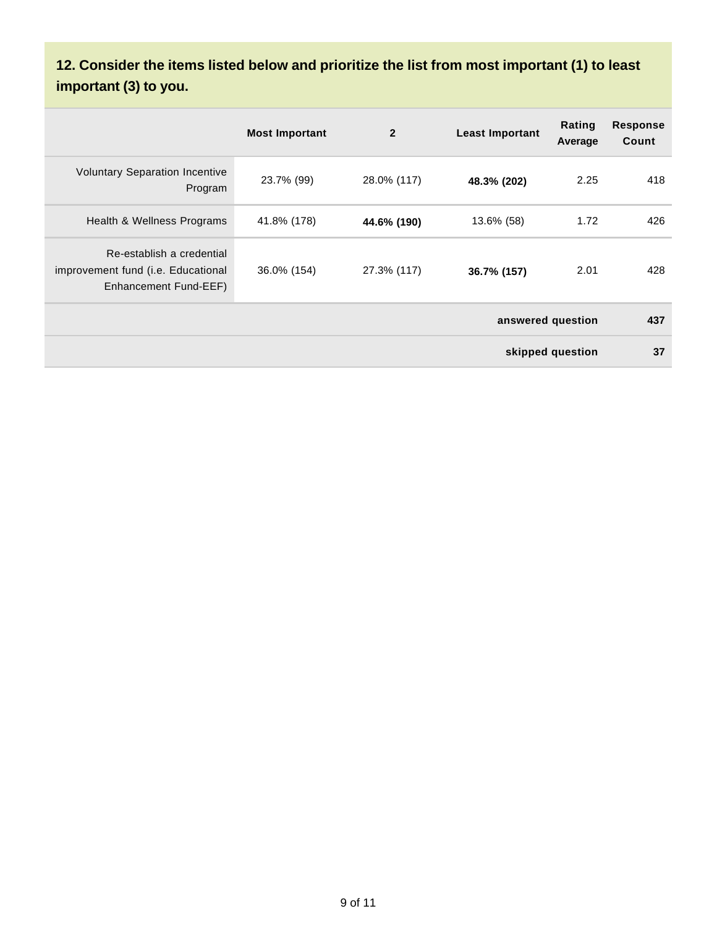# **12. Consider the items listed below and prioritize the list from most important (1) to least important (3) to you.**

|                                                                                          | <b>Most Important</b> | $\overline{2}$ | <b>Least Important</b> | Rating<br>Average | <b>Response</b><br>Count |
|------------------------------------------------------------------------------------------|-----------------------|----------------|------------------------|-------------------|--------------------------|
| <b>Voluntary Separation Incentive</b><br>Program                                         | 23.7% (99)            | 28.0% (117)    | 48.3% (202)            | 2.25              | 418                      |
| Health & Wellness Programs                                                               | 41.8% (178)           | 44.6% (190)    | 13.6% (58)             | 1.72              | 426                      |
| Re-establish a credential<br>improvement fund (i.e. Educational<br>Enhancement Fund-EEF) | 36.0% (154)           | 27.3% (117)    | 36.7% (157)            | 2.01              | 428                      |
| answered question                                                                        |                       |                |                        |                   | 437                      |
| skipped question                                                                         |                       |                |                        |                   | 37                       |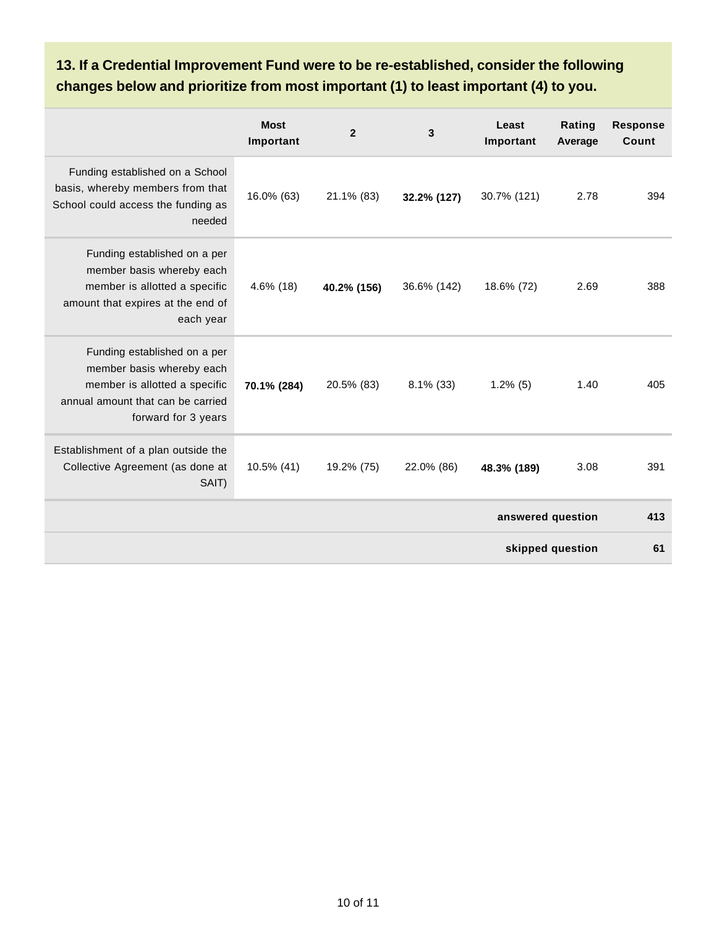### **13. If a Credential Improvement Fund were to be re-established, consider the following changes below and prioritize from most important (1) to least important (4) to you.**

|                                                                                                                                                        | <b>Most</b><br>Important | $\overline{2}$ | 3            | Least<br>Important | Rating<br>Average | <b>Response</b><br>Count |
|--------------------------------------------------------------------------------------------------------------------------------------------------------|--------------------------|----------------|--------------|--------------------|-------------------|--------------------------|
| Funding established on a School<br>basis, whereby members from that<br>School could access the funding as<br>needed                                    | 16.0% (63)               | 21.1% (83)     | 32.2% (127)  | 30.7% (121)        | 2.78              | 394                      |
| Funding established on a per<br>member basis whereby each<br>member is allotted a specific<br>amount that expires at the end of<br>each year           | $4.6\%$ (18)             | 40.2% (156)    | 36.6% (142)  | 18.6% (72)         | 2.69              | 388                      |
| Funding established on a per<br>member basis whereby each<br>member is allotted a specific<br>annual amount that can be carried<br>forward for 3 years | 70.1% (284)              | 20.5% (83)     | $8.1\%$ (33) | $1.2\%$ (5)        | 1.40              | 405                      |
| Establishment of a plan outside the<br>Collective Agreement (as done at<br>SAIT)                                                                       | 10.5% (41)               | 19.2% (75)     | 22.0% (86)   | 48.3% (189)        | 3.08              | 391                      |
| answered question                                                                                                                                      |                          |                |              |                    | 413               |                          |
| skipped question                                                                                                                                       |                          |                |              | 61                 |                   |                          |